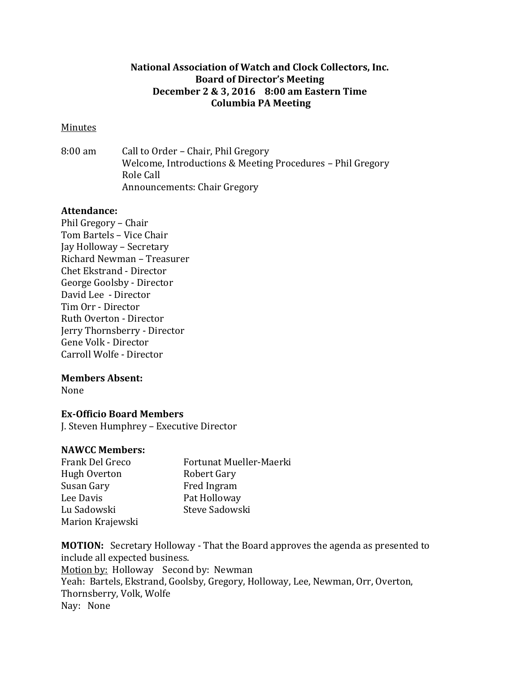# **National Association of Watch and Clock Collectors, Inc. Board of Director's Meeting December 2 & 3, 2016 8:00 am Eastern Time Columbia PA Meeting**

### Minutes

8:00 am Call to Order – Chair, Phil Gregory Welcome, Introductions & Meeting Procedures – Phil Gregory Role Call Announcements: Chair Gregory

### **Attendance:**

Phil Gregory – Chair Tom Bartels – Vice Chair Jay Holloway – Secretary Richard Newman – Treasurer Chet Ekstrand - Director George Goolsby - Director David Lee - Director Tim Orr - Director Ruth Overton - Director Jerry Thornsberry - Director Gene Volk - Director Carroll Wolfe - Director

### **Members Absent:**

None

# **Ex-Officio Board Members**

J. Steven Humphrey – Executive Director

### **NAWCC Members:**

| Frank Del Greco  | Fortunat Mueller-Maerki |
|------------------|-------------------------|
| Hugh Overton     | <b>Robert Gary</b>      |
| Susan Gary       | Fred Ingram             |
| Lee Davis        | Pat Holloway            |
| Lu Sadowski      | Steve Sadowski          |
| Marion Krajewski |                         |

**MOTION:** Secretary Holloway - That the Board approves the agenda as presented to include all expected business. Motion by: Holloway Second by: Newman Yeah: Bartels, Ekstrand, Goolsby, Gregory, Holloway, Lee, Newman, Orr, Overton, Thornsberry, Volk, Wolfe Nay: None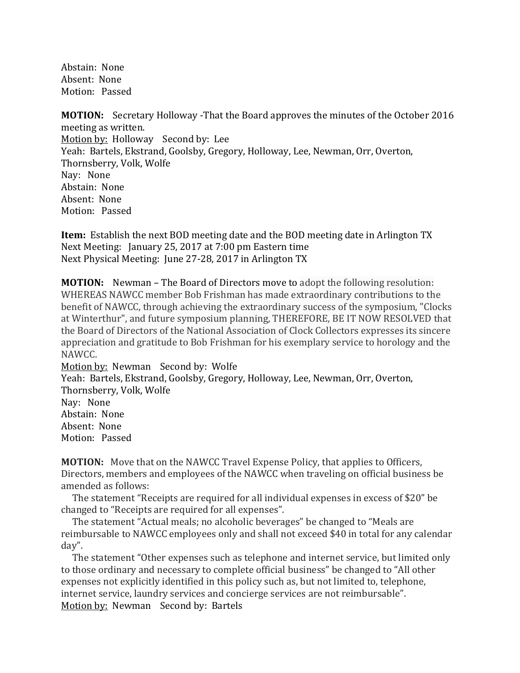Abstain: None Absent: None Motion: Passed

**MOTION:** Secretary Holloway -That the Board approves the minutes of the October 2016 meeting as written. Motion by: Holloway Second by: Lee Yeah: Bartels, Ekstrand, Goolsby, Gregory, Holloway, Lee, Newman, Orr, Overton, Thornsberry, Volk, Wolfe Nay: None Abstain: None Absent: None Motion: Passed

**Item:** Establish the next BOD meeting date and the BOD meeting date in Arlington TX Next Meeting: January 25, 2017 at 7:00 pm Eastern time Next Physical Meeting: June 27-28, 2017 in Arlington TX

**MOTION:** Newman – The Board of Directors move to adopt the following resolution: WHEREAS NAWCC member Bob Frishman has made extraordinary contributions to the benefit of NAWCC, through achieving the extraordinary success of the symposium, "Clocks at Winterthur", and future symposium planning, THEREFORE, BE IT NOW RESOLVED that the Board of Directors of the National Association of Clock Collectors expresses its sincere appreciation and gratitude to Bob Frishman for his exemplary service to horology and the NAWCC.

Motion by: Newman Second by: Wolfe Yeah: Bartels, Ekstrand, Goolsby, Gregory, Holloway, Lee, Newman, Orr, Overton, Thornsberry, Volk, Wolfe Nay: None Abstain: None Absent: None Motion: Passed

**MOTION:** Move that on the NAWCC Travel Expense Policy, that applies to Officers, Directors, members and employees of the NAWCC when traveling on official business be amended as follows:

 The statement "Receipts are required for all individual expenses in excess of \$20" be changed to "Receipts are required for all expenses".

 The statement "Actual meals; no alcoholic beverages" be changed to "Meals are reimbursable to NAWCC employees only and shall not exceed \$40 in total for any calendar day".

 The statement "Other expenses such as telephone and internet service, but limited only to those ordinary and necessary to complete official business" be changed to "All other expenses not explicitly identified in this policy such as, but not limited to, telephone, internet service, laundry services and concierge services are not reimbursable". Motion by: Newman Second by: Bartels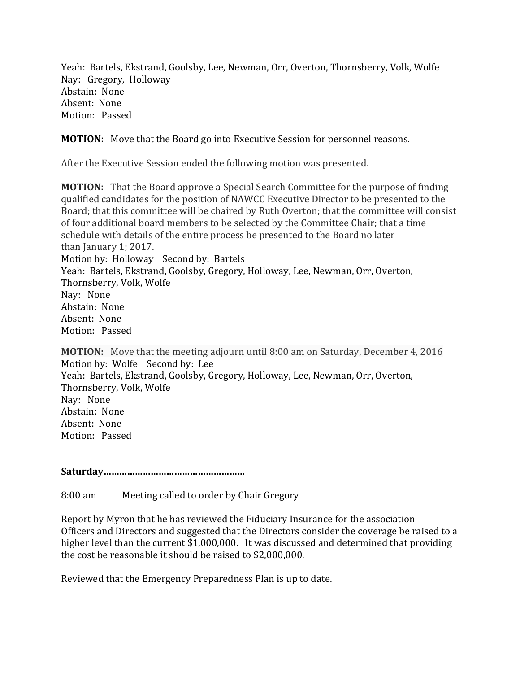Yeah: Bartels, Ekstrand, Goolsby, Lee, Newman, Orr, Overton, Thornsberry, Volk, Wolfe Nay: Gregory, Holloway Abstain: None Absent: None Motion: Passed

# **MOTION:** Move that the Board go into Executive Session for personnel reasons.

After the Executive Session ended the following motion was presented.

**MOTION:** That the Board approve a Special Search Committee for the purpose of finding qualified candidates for the position of NAWCC Executive Director to be presented to the Board; that this committee will be chaired by Ruth Overton; that the committee will consist of four additional board members to be selected by the Committee Chair; that a time schedule with details of the entire process be presented to the Board no later than January 1; 2017. Motion by: Holloway Second by: Bartels Yeah: Bartels, Ekstrand, Goolsby, Gregory, Holloway, Lee, Newman, Orr, Overton, Thornsberry, Volk, Wolfe Nay: None Abstain: None Absent: None Motion: Passed

**MOTION:** Move that the meeting adjourn until 8:00 am on Saturday, December 4, 2016 Motion by: Wolfe Second by: Lee Yeah: Bartels, Ekstrand, Goolsby, Gregory, Holloway, Lee, Newman, Orr, Overton, Thornsberry, Volk, Wolfe Nay: None Abstain: None Absent: None Motion: Passed

# **Saturday………………………………………………**

8:00 am Meeting called to order by Chair Gregory

Report by Myron that he has reviewed the Fiduciary Insurance for the association Officers and Directors and suggested that the Directors consider the coverage be raised to a higher level than the current \$1,000,000. It was discussed and determined that providing the cost be reasonable it should be raised to \$2,000,000.

Reviewed that the Emergency Preparedness Plan is up to date.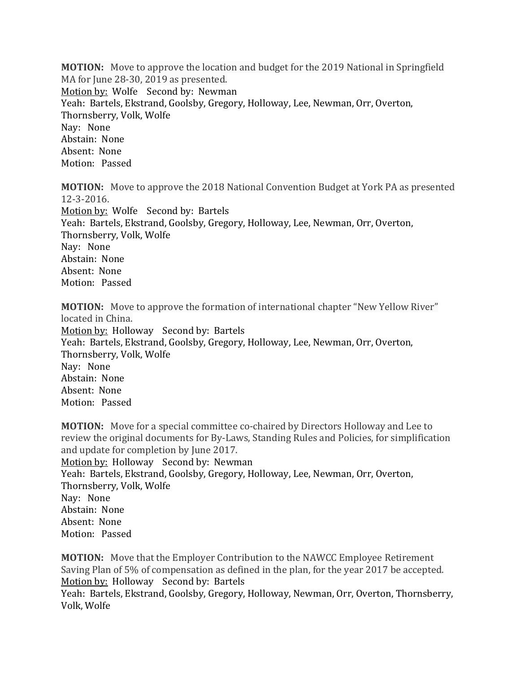**MOTION:** Move to approve the location and budget for the 2019 National in Springfield MA for June 28-30, 2019 as presented. Motion by: Wolfe Second by: Newman Yeah: Bartels, Ekstrand, Goolsby, Gregory, Holloway, Lee, Newman, Orr, Overton, Thornsberry, Volk, Wolfe Nay: None Abstain: None Absent: None Motion: Passed

**MOTION:** Move to approve the 2018 National Convention Budget at York PA as presented 12-3-2016. Motion by: Wolfe Second by: Bartels

Yeah: Bartels, Ekstrand, Goolsby, Gregory, Holloway, Lee, Newman, Orr, Overton, Thornsberry, Volk, Wolfe Nay: None Abstain: None Absent: None Motion: Passed

**MOTION:** Move to approve the formation of international chapter "New Yellow River" located in China. Motion by: Holloway Second by: Bartels Yeah: Bartels, Ekstrand, Goolsby, Gregory, Holloway, Lee, Newman, Orr, Overton, Thornsberry, Volk, Wolfe Nay: None Abstain: None Absent: None Motion: Passed

**MOTION:** Move for a special committee co-chaired by Directors Holloway and Lee to review the original documents for By-Laws, Standing Rules and Policies, for simplification and update for completion by June 2017. Motion by: Holloway Second by: Newman Yeah: Bartels, Ekstrand, Goolsby, Gregory, Holloway, Lee, Newman, Orr, Overton, Thornsberry, Volk, Wolfe Nay: None Abstain: None Absent: None Motion: Passed

**MOTION:** Move that the Employer Contribution to the NAWCC Employee Retirement Saving Plan of 5% of compensation as defined in the plan, for the year 2017 be accepted. Motion by: Holloway Second by: Bartels Yeah: Bartels, Ekstrand, Goolsby, Gregory, Holloway, Newman, Orr, Overton, Thornsberry, Volk, Wolfe